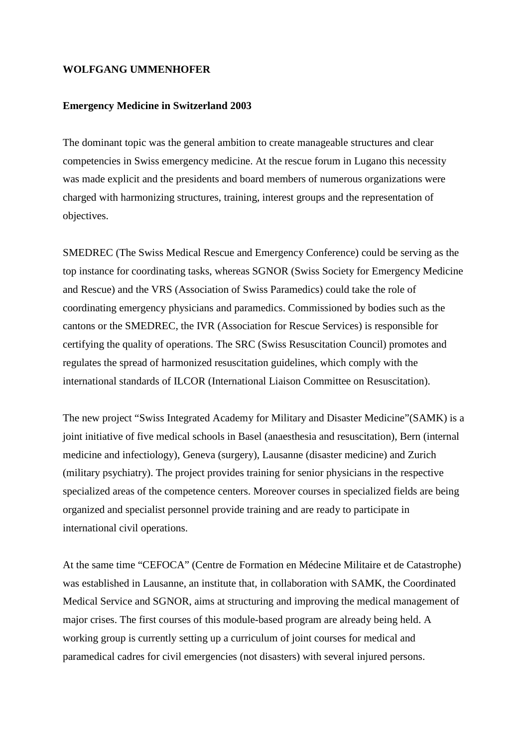## **WOLFGANG UMMENHOFER**

## **Emergency Medicine in Switzerland 2003**

The dominant topic was the general ambition to create manageable structures and clear competencies in Swiss emergency medicine. At the rescue forum in Lugano this necessity was made explicit and the presidents and board members of numerous organizations were charged with harmonizing structures, training, interest groups and the representation of objectives.

SMEDREC (The Swiss Medical Rescue and Emergency Conference) could be serving as the top instance for coordinating tasks, whereas SGNOR (Swiss Society for Emergency Medicine and Rescue) and the VRS (Association of Swiss Paramedics) could take the role of coordinating emergency physicians and paramedics. Commissioned by bodies such as the cantons or the SMEDREC, the IVR (Association for Rescue Services) is responsible for certifying the quality of operations. The SRC (Swiss Resuscitation Council) promotes and regulates the spread of harmonized resuscitation guidelines, which comply with the international standards of ILCOR (International Liaison Committee on Resuscitation).

The new project "Swiss Integrated Academy for Military and Disaster Medicine"(SAMK) is a joint initiative of five medical schools in Basel (anaesthesia and resuscitation), Bern (internal medicine and infectiology), Geneva (surgery), Lausanne (disaster medicine) and Zurich (military psychiatry). The project provides training for senior physicians in the respective specialized areas of the competence centers. Moreover courses in specialized fields are being organized and specialist personnel provide training and are ready to participate in international civil operations.

At the same time "CEFOCA" (Centre de Formation en Médecine Militaire et de Catastrophe) was established in Lausanne, an institute that, in collaboration with SAMK, the Coordinated Medical Service and SGNOR, aims at structuring and improving the medical management of major crises. The first courses of this module-based program are already being held. A working group is currently setting up a curriculum of joint courses for medical and paramedical cadres for civil emergencies (not disasters) with several injured persons.